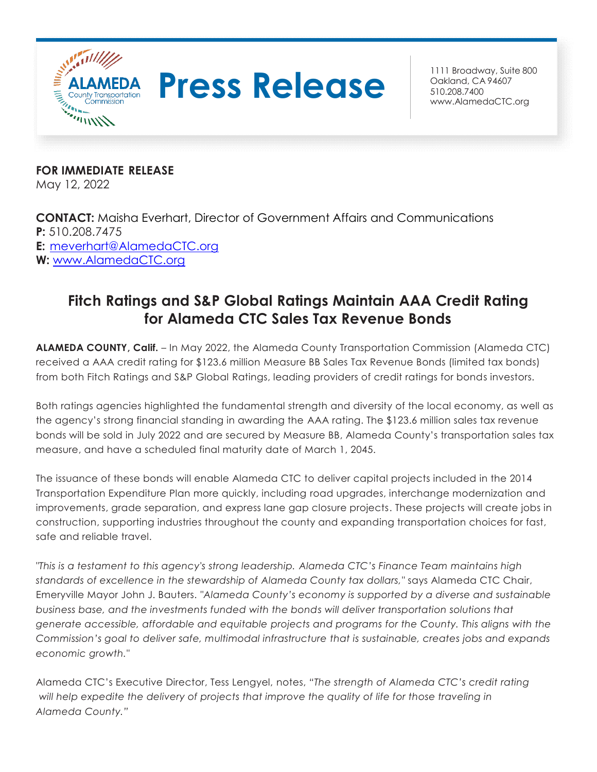

# **Press Release Broadway**, Suite 800

Oakland, CA 94607 510.208.7400 [www.AlamedaCTC.org](http://www.alamedactc.org/)

**FOR IMMEDIATE RELEASE** May 12, 2022

**CONTACT:** Maisha Everhart, Director of Government Affairs and Communications **P:** 510.208.7475 **E:** [meverhart@AlamedaCTC.org](mailto:meverhart@AlamedaCTC.org) **W:** [www.AlamedaCTC.org](http://www.alamedactc.org/)

# **Fitch Ratings and S&P Global Ratings Maintain AAA Credit Rating for Alameda CTC Sales Tax Revenue Bonds**

**ALAMEDA COUNTY, Calif.** – In May 2022, the Alameda County Transportation Commission (Alameda CTC) received a AAA credit rating for \$123.6 million Measure BB Sales Tax Revenue Bonds (limited tax bonds) from both Fitch Ratings and S&P Global Ratings, leading providers of credit ratings for bonds investors.

Both ratings agencies highlighted the fundamental strength and diversity of the local economy, as well as the agency's strong financial standing in awarding the AAA rating. The \$123.6 million sales tax revenue bonds will be sold in July 2022 and are secured by Measure BB, Alameda County's transportation sales tax measure, and have a scheduled final maturity date of March 1, 2045.

The issuance of these bonds will enable Alameda CTC to deliver capital projects included in the 2014 Transportation Expenditure Plan more quickly, including road upgrades, interchange modernization and improvements, grade separation, and express lane gap closure projects. These projects will create jobs in construction, supporting industries throughout the county and expanding transportation choices for fast, safe and reliable travel.

*"This is a testament to this agency's strong leadership. Alameda CTC's Finance Team maintains high standards of excellence in the stewardship of Alameda County tax dollars,"* says Alameda CTC Chair, Emeryville Mayor John J. Bauters. *"Alameda County's economy is supported by a diverse and sustainable business base, and the investments funded with the bonds will deliver transportation solutions that generate accessible, affordable and equitable projects and programs for the County. This aligns with the Commission's goal to deliver safe, multimodal infrastructure that is sustainable, creates jobs and expands economic growth."*

Alameda CTC's Executive Director, Tess Lengyel, notes, *"The strength of Alameda CTC's credit rating will help expedite the delivery of projects that improve the quality of life for those traveling in Alameda County."*